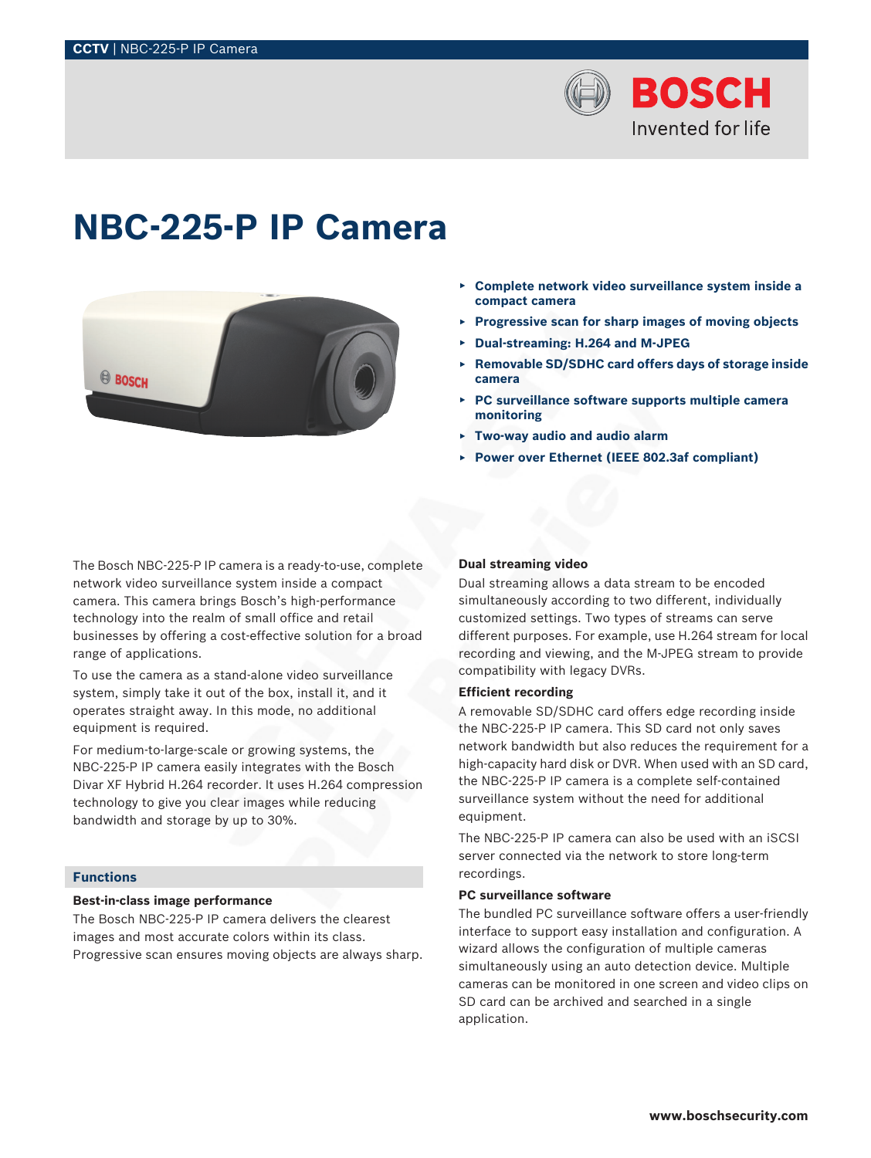

# **NBC-225-P IP Camera**



- ▶ **Complete network video surveillance system inside a compact camera**
- ▶ **Progressive scan for sharp images of moving objects**
- ▶ **Dual-streaming: H.264 and M-JPEG**
- ▶ **Removable SD/SDHC card offers days of storage inside camera**
- ▶ **PC surveillance software supports multiple camera monitoring**
- ▶ **Two-way audio and audio alarm**
- ▶ **Power over Ethernet (IEEE 802.3af compliant)**

The Bosch NBC-225-P IP camera is a ready-to-use, complete network video surveillance system inside a compact camera. This camera brings Bosch's high-performance technology into the realm of small office and retail businesses by offering a cost-effective solution for a broad range of applications.

To use the camera as a stand-alone video surveillance system, simply take it out of the box, install it, and it operates straight away. In this mode, no additional equipment is required.

For medium-to-large-scale or growing systems, the NBC-225-P IP camera easily integrates with the Bosch Divar XF Hybrid H.264 recorder. It uses H.264 compression technology to give you clear images while reducing bandwidth and storage by up to 30%.

### **Functions**

#### **Best-in-class image performance**

The Bosch NBC-225-P IP camera delivers the clearest images and most accurate colors within its class. Progressive scan ensures moving objects are always sharp.

#### **Dual streaming video**

Dual streaming allows a data stream to be encoded simultaneously according to two different, individually customized settings. Two types of streams can serve different purposes. For example, use H.264 stream for local recording and viewing, and the M-JPEG stream to provide compatibility with legacy DVRs.

### **Efficient recording**

A removable SD/SDHC card offers edge recording inside the NBC-225-P IP camera. This SD card not only saves network bandwidth but also reduces the requirement for a high-capacity hard disk or DVR. When used with an SD card, the NBC-225-P IP camera is a complete self-contained surveillance system without the need for additional equipment.

The NBC-225-P IP camera can also be used with an iSCSI server connected via the network to store long-term recordings.

#### **PC surveillance software**

The bundled PC surveillance software offers a user-friendly interface to support easy installation and configuration. A wizard allows the configuration of multiple cameras simultaneously using an auto detection device. Multiple cameras can be monitored in one screen and video clips on SD card can be archived and searched in a single application.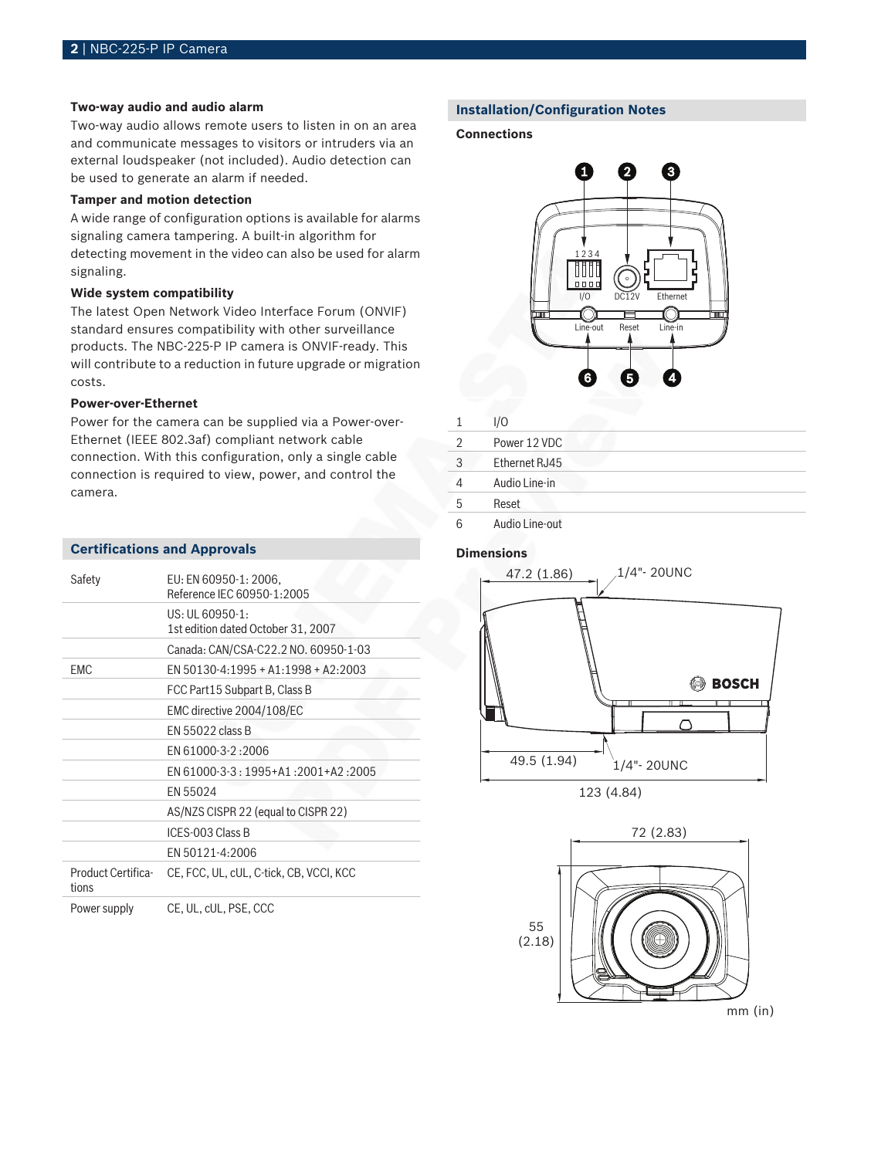#### **Two-way audio and audio alarm**

Two-way audio allows remote users to listen in on an area and communicate messages to visitors or intruders via an external loudspeaker (not included). Audio detection can be used to generate an alarm if needed.

#### **Tamper and motion detection**

A wide range of configuration options is available for alarms signaling camera tampering. A built-in algorithm for detecting movement in the video can also be used for alarm signaling.

#### **Wide system compatibility**

The latest Open Network Video Interface Forum (ONVIF) standard ensures compatibility with other surveillance products. The NBC‑225‑P IP camera is ONVIF-ready. This will contribute to a reduction in future upgrade or migration costs.

## **Power-over-Ethernet**

Power for the camera can be supplied via a Power-over-Ethernet (IEEE 802.3af) compliant network cable connection. With this configuration, only a single cable connection is required to view, power, and control the camera.

| <b>Certifications and Approvals</b> |                                                       |  |  |  |  |
|-------------------------------------|-------------------------------------------------------|--|--|--|--|
| Safety                              | EU: EN 60950-1: 2006.<br>Reference IEC 60950-1:2005   |  |  |  |  |
|                                     | US: UL 60950-1:<br>1st edition dated October 31, 2007 |  |  |  |  |
|                                     | Canada: CAN/CSA-C22.2 NO. 60950-1-03                  |  |  |  |  |
| <b>FMC</b>                          | EN 50130-4:1995 + A1:1998 + A2:2003                   |  |  |  |  |
|                                     | FCC Part15 Subpart B, Class B                         |  |  |  |  |
|                                     | EMC directive 2004/108/EC                             |  |  |  |  |
|                                     | EN 55022 class B                                      |  |  |  |  |
|                                     | EN 61000-3-2:2006                                     |  |  |  |  |
|                                     | EN 61000-3-3: 1995+A1:2001+A2:2005                    |  |  |  |  |
|                                     | EN 55024                                              |  |  |  |  |
|                                     | AS/NZS CISPR 22 (equal to CISPR 22)                   |  |  |  |  |
|                                     | ICES-003 Class B                                      |  |  |  |  |
|                                     | FN 50121-4:2006                                       |  |  |  |  |
| Product Certifica-<br>tions         | CE, FCC, UL, cUL, C-tick, CB, VCCI, KCC               |  |  |  |  |
|                                     |                                                       |  |  |  |  |

Power supply CE, UL, cUL, PSE, CCC

#### **Installation/Configuration Notes**

#### **Connections**



|                | 1/O           |
|----------------|---------------|
| $\mathfrak{D}$ | Power 12 VDC  |
| 3              | Ethernet RJ45 |
|                | Audio Line-in |
| h              | Reset         |
|                | .             |

6 Audio Line-out

## **Dimensions**



123 (4.84)

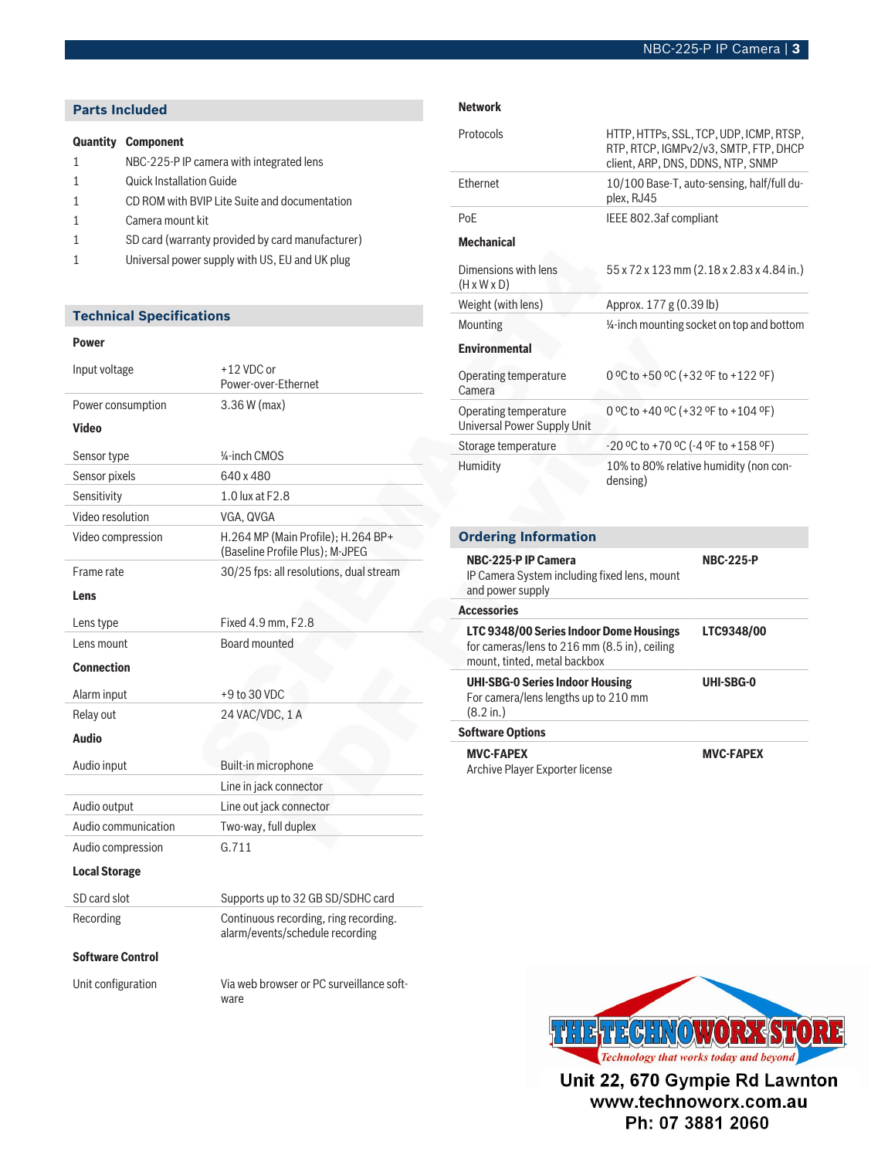## **Parts Included**

| <b>Quantity Component</b>                        |
|--------------------------------------------------|
| NBC-225-P IP camera with integrated lens         |
| Quick Installation Guide                         |
| CD ROM with BVIP Lite Suite and documentation    |
| Camera mount kit                                 |
| SD card (warranty provided by card manufacturer) |
| Universal power supply with US, EU and UK plug   |

### **Technical Specifications**

#### **Power**

| Input voltage           | +12 VDC or<br>Power-over-Ethernet                                        |  |
|-------------------------|--------------------------------------------------------------------------|--|
| Power consumption       | $3.36 W$ (max)                                                           |  |
| Video                   |                                                                          |  |
| Sensor type             | 1/ <sub>4</sub> -inch CMOS                                               |  |
| Sensor pixels           | 640 x 480                                                                |  |
| Sensitivity             | 1.0 lux at F2.8                                                          |  |
| Video resolution        | VGA, QVGA                                                                |  |
| Video compression       | H.264 MP (Main Profile); H.264 BP+<br>(Baseline Profile Plus); M-JPEG    |  |
| Frame rate              | 30/25 fps: all resolutions, dual stream                                  |  |
| Lens                    |                                                                          |  |
| Lens type               | Fixed 4.9 mm, F2.8                                                       |  |
| Lens mount              | <b>Board mounted</b>                                                     |  |
| <b>Connection</b>       |                                                                          |  |
| Alarm input             | +9 to 30 VDC                                                             |  |
| Relay out               | 24 VAC/VDC, 1 A                                                          |  |
| <b>Audio</b>            |                                                                          |  |
| Audio input             | Built-in microphone                                                      |  |
|                         | Line in jack connector                                                   |  |
| Audio output            | Line out jack connector                                                  |  |
| Audio communication     | Two-way, full duplex                                                     |  |
| Audio compression       | G.711                                                                    |  |
| <b>Local Storage</b>    |                                                                          |  |
| SD card slot            | Supports up to 32 GB SD/SDHC card                                        |  |
| Recording               | Continuous recording, ring recording.<br>alarm/events/schedule recording |  |
| <b>Software Control</b> |                                                                          |  |
| Unit configuration      | Via web browser or PC surveillance soft-<br>ware                         |  |

| Protocols                                            | HTTP, HTTPs, SSL, TCP, UDP, ICMP, RTSP,<br>RTP, RTCP, IGMPv2/v3, SMTP, FTP, DHCP<br>client, ARP, DNS, DDNS, NTP, SNMP |  |  |
|------------------------------------------------------|-----------------------------------------------------------------------------------------------------------------------|--|--|
| <b>Fthernet</b>                                      | 10/100 Base-T, auto-sensing, half/full du-<br>plex, RJ45                                                              |  |  |
| PoF                                                  | IEEE 802.3af compliant                                                                                                |  |  |
| <b>Mechanical</b>                                    |                                                                                                                       |  |  |
| Dimensions with lens<br>$(H \times W \times D)$      | 55 x 72 x 123 mm (2.18 x 2.83 x 4.84 in.)                                                                             |  |  |
| Weight (with lens)                                   | Approx. 177 g (0.39 lb)                                                                                               |  |  |
| Mounting                                             | $\frac{1}{4}$ -inch mounting socket on top and bottom                                                                 |  |  |
| <b>Environmental</b>                                 |                                                                                                                       |  |  |
| Operating temperature<br>Camera                      | 0 °C to +50 °C (+32 °F to +122 °F)                                                                                    |  |  |
| Operating temperature<br>Universal Power Supply Unit | 0 °C to +40 °C (+32 °F to +104 °F)                                                                                    |  |  |
| Storage temperature                                  | $-20$ °C to +70 °C ( $-4$ °F to +158 °F)                                                                              |  |  |
| Humidity                                             | 10% to 80% relative humidity (non con-<br>densing)                                                                    |  |  |

## **Ordering Information**

**Network**

| NBC-225-PIP Camera<br>IP Camera System including fixed lens, mount<br>and power supply                                             | <b>NBC-225-P</b> |
|------------------------------------------------------------------------------------------------------------------------------------|------------------|
| <b>Accessories</b>                                                                                                                 |                  |
| LTC 9348/00 Series Indoor Dome Housings<br>for cameras/lens to 216 mm $(8.5 \text{ in})$ , ceiling<br>mount, tinted, metal backbox | LTC9348/00       |
| <b>UHI-SBG-0 Series Indoor Housing</b><br>For camera/lens lengths up to 210 mm<br>$(8.2 \text{ in.})$                              | <b>UHI-SBG-0</b> |
| <b>Software Options</b>                                                                                                            |                  |
| <b>MVC-FAPEX</b><br>Archive Player Exporter license                                                                                | <b>MVC-FAPEX</b> |



Ph: 07 3881 2060